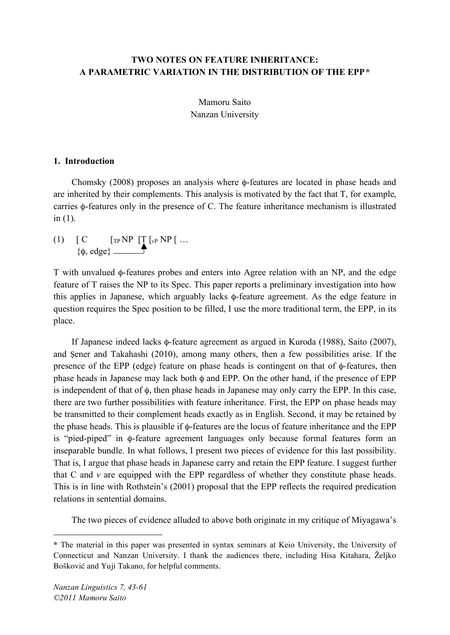# **TWO NOTES ON FEATURE INHERITANCE: A PARAMETRIC VARIATION IN THE DISTRIBUTION OF THE EPP\***

Mamoru Saito Nanzan University

# **1. Introduction**

Chomsky (2008) proposes an analysis where φ-features are located in phase heads and are inherited by their complements. This analysis is motivated by the fact that T, for example, carries φ-features only in the presence of C. The feature inheritance mechanism is illustrated in  $(1)$ .

(1)  $[C \t [TP NP [T [vP NP])....]$ {φ, edge}

T with unvalued φ-features probes and enters into Agree relation with an NP, and the edge feature of T raises the NP to its Spec. This paper reports a preliminary investigation into how this applies in Japanese, which arguably lacks φ-feature agreement. As the edge feature in question requires the Spec position to be filled, I use the more traditional term, the EPP, in its place.

If Japanese indeed lacks φ-feature agreement as argued in Kuroda (1988), Saito (2007), and Şener and Takahashi (2010), among many others, then a few possibilities arise. If the presence of the EPP (edge) feature on phase heads is contingent on that of φ-features, then phase heads in Japanese may lack both φ and EPP. On the other hand, if the presence of EPP is independent of that of φ, then phase heads in Japanese may only carry the EPP. In this case, there are two further possibilities with feature inheritance. First, the EPP on phase heads may be transmitted to their complement heads exactly as in English. Second, it may be retained by the phase heads. This is plausible if φ-features are the locus of feature inheritance and the EPP is "pied-piped" in φ-feature agreement languages only because formal features form an inseparable bundle. In what follows, I present two pieces of evidence for this last possibility. That is, I argue that phase heads in Japanese carry and retain the EPP feature. I suggest further that  $C$  and  $\nu$  are equipped with the EPP regardless of whether they constitute phase heads. This is in line with Rothstein's (2001) proposal that the EPP reflects the required predication relations in sentential domains.

The two pieces of evidence alluded to above both originate in my critique of Miyagawa's

 $\overline{a}$ 

**<sup>\*</sup>** The material in this paper was presented in syntax seminars at Keio University, the University of Connecticut and Nanzan University. I thank the audiences there, including Hisa Kitahara, Željko Bošković and Yuji Takano, for helpful comments.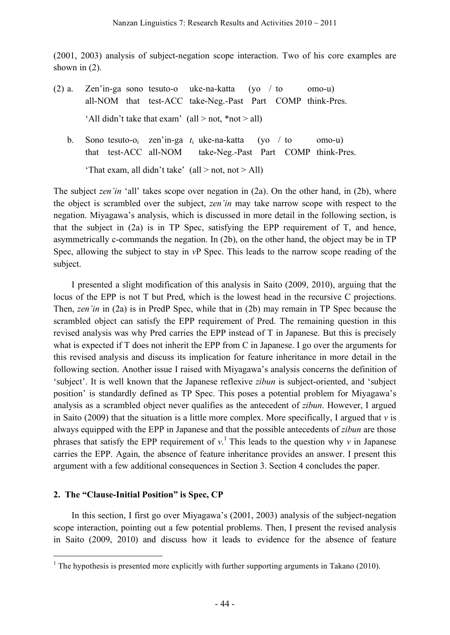(2001, 2003) analysis of subject-negation scope interaction. Two of his core examples are shown in (2).

- (2) a. Zen'in-ga sono tesuto-o uke-na-katta (yo / to omo-u) all-NOM that test-ACC take-Neg.-Past Part COMP think-Pres. 'All didn't take that exam' (all > not,  $*$ not > all)
	- b. Sono tesuto-oi zen'in-ga *t*<sup>i</sup> uke-na-katta (yo / to omo-u) that test-ACC all-NOM take-Neg.-Past Part COMP think-Pres.

'That exam, all didn't take'  $(\text{all} > \text{not}, \text{not} > \text{All})$ 

The subject *zen'in* 'all' takes scope over negation in (2a). On the other hand, in (2b), where the object is scrambled over the subject, *zen'in* may take narrow scope with respect to the negation. Miyagawa's analysis, which is discussed in more detail in the following section, is that the subject in (2a) is in TP Spec, satisfying the EPP requirement of T, and hence, asymmetrically c-commands the negation. In (2b), on the other hand, the object may be in TP Spec, allowing the subject to stay in *v*P Spec. This leads to the narrow scope reading of the subject.

I presented a slight modification of this analysis in Saito (2009, 2010), arguing that the locus of the EPP is not T but Pred, which is the lowest head in the recursive C projections. Then, *zen'in* in (2a) is in PredP Spec, while that in (2b) may remain in TP Spec because the scrambled object can satisfy the EPP requirement of Pred. The remaining question in this revised analysis was why Pred carries the EPP instead of T in Japanese. But this is precisely what is expected if T does not inherit the EPP from C in Japanese. I go over the arguments for this revised analysis and discuss its implication for feature inheritance in more detail in the following section. Another issue I raised with Miyagawa's analysis concerns the definition of 'subject'. It is well known that the Japanese reflexive *zibun* is subject-oriented, and 'subject position' is standardly defined as TP Spec. This poses a potential problem for Miyagawa's analysis as a scrambled object never qualifies as the antecedent of *zibun*. However, I argued in Saito (2009) that the situation is a little more complex. More specifically, I argued that *v* is always equipped with the EPP in Japanese and that the possible antecedents of *zibun* are those phrases that satisfy the EPP requirement of  $v<sup>1</sup>$ . This leads to the question why  $v$  in Japanese carries the EPP. Again, the absence of feature inheritance provides an answer. I present this argument with a few additional consequences in Section 3. Section 4 concludes the paper.

# **2. The "Clause-Initial Position" is Spec, CP**

In this section, I first go over Miyagawa's (2001, 2003) analysis of the subject-negation scope interaction, pointing out a few potential problems. Then, I present the revised analysis in Saito (2009, 2010) and discuss how it leads to evidence for the absence of feature

<sup>&</sup>lt;sup>1</sup> The hypothesis is presented more explicitly with further supporting arguments in Takano (2010).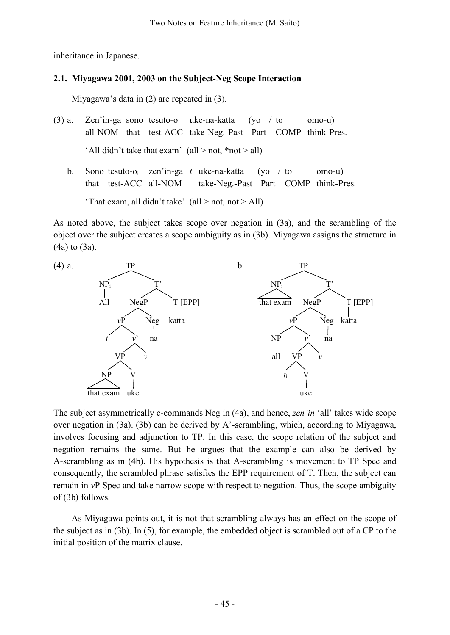inheritance in Japanese.

# **2.1. Miyagawa 2001, 2003 on the Subject-Neg Scope Interaction**

Miyagawa's data in (2) are repeated in (3).

- (3) a. Zen'in-ga sono tesuto-o uke-na-katta (yo / to omo-u) all-NOM that test-ACC take-Neg.-Past Part COMP think-Pres. 'All didn't take that exam' (all  $>$  not, \*not  $>$  all)
	- b. Sono tesuto-oi zen'in-ga *t*<sup>i</sup> uke-na-katta (yo / to omo-u) that test-ACC all-NOM take-Neg.-Past Part COMP think-Pres. 'That exam, all didn't take'  $\text{(all} > \text{not}, \text{not} > \text{All})$

As noted above, the subject takes scope over negation in (3a), and the scrambling of the object over the subject creates a scope ambiguity as in (3b). Miyagawa assigns the structure in (4a) to (3a).



The subject asymmetrically c-commands Neg in (4a), and hence, *zen'in* 'all' takes wide scope over negation in (3a). (3b) can be derived by A'-scrambling, which, according to Miyagawa, involves focusing and adjunction to TP. In this case, the scope relation of the subject and negation remains the same. But he argues that the example can also be derived by A-scrambling as in (4b). His hypothesis is that A-scrambling is movement to TP Spec and consequently, the scrambled phrase satisfies the EPP requirement of T. Then, the subject can remain in *v*P Spec and take narrow scope with respect to negation. Thus, the scope ambiguity of (3b) follows.

As Miyagawa points out, it is not that scrambling always has an effect on the scope of the subject as in (3b). In (5), for example, the embedded object is scrambled out of a CP to the initial position of the matrix clause.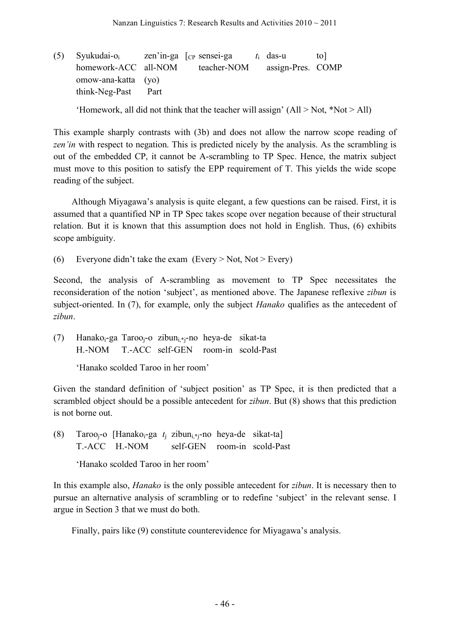(5) Syukudai-oi zen'in-ga [CP sensei-ga *t*<sup>i</sup> das-u to] homework-ACC all-NOM teacher-NOM assign-Pres. COMP omow-ana-katta (yo) think-Neg-Past Part

'Homework, all did not think that the teacher will assign'  $(AII > Not, *Not > All)$ 

This example sharply contrasts with (3b) and does not allow the narrow scope reading of *zen'in* with respect to negation. This is predicted nicely by the analysis. As the scrambling is out of the embedded CP, it cannot be A-scrambling to TP Spec. Hence, the matrix subject must move to this position to satisfy the EPP requirement of T. This yields the wide scope reading of the subject.

Although Miyagawa's analysis is quite elegant, a few questions can be raised. First, it is assumed that a quantified NP in TP Spec takes scope over negation because of their structural relation. But it is known that this assumption does not hold in English. Thus, (6) exhibits scope ambiguity.

(6) Everyone didn't take the exam (Every  $>$  Not, Not  $>$  Every)

Second, the analysis of A-scrambling as movement to TP Spec necessitates the reconsideration of the notion 'subject', as mentioned above. The Japanese reflexive *zibun* is subject-oriented. In (7), for example, only the subject *Hanako* qualifies as the antecedent of *zibun*.

(7) Hanako<sub>i</sub>-ga Taroo<sub>i</sub>-o zibun<sub>i\*i</sub>-no heya-de sikat-ta H.-NOM T.-ACC self-GEN room-in scold-Past

'Hanako scolded Taroo in her room'

Given the standard definition of 'subject position' as TP Spec, it is then predicted that a scrambled object should be a possible antecedent for *zibun*. But (8) shows that this prediction is not borne out.

(8) Taroo<sub>i</sub>-o [Hanako<sub>i</sub>-ga  $t_i$  zibun<sub>i.\*i</sub>-no heya-de sikat-ta] T.-ACC H.-NOM self-GEN room-in scold-Past

'Hanako scolded Taroo in her room'

In this example also, *Hanako* is the only possible antecedent for *zibun*. It is necessary then to pursue an alternative analysis of scrambling or to redefine 'subject' in the relevant sense. I argue in Section 3 that we must do both.

Finally, pairs like (9) constitute counterevidence for Miyagawa's analysis.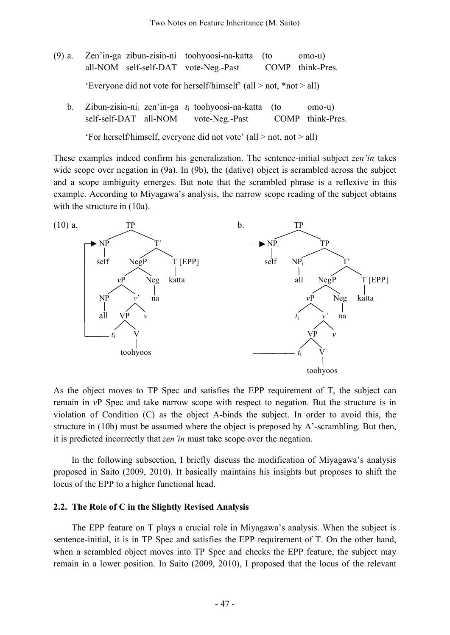- (9) a. Zen'in-ga zibun-zisin-ni toohyoosi-na-katta (to omo-u) all-NOM self-self-DAT vote-Neg.-Past COMP think-Pres. 'Everyone did not vote for herself/himself' (all > not, \*not > all)
	- b. Zibun-zisin-nii zen'in-ga *t*<sup>i</sup> toohyoosi-na-katta (to omo-u) self-self-DAT all-NOM vote-Neg.-Past COMP think-Pres.

'For herself/himself, everyone did not vote' (all > not, not > all)

These examples indeed confirm his generalization. The sentence-initial subject *zen'in* takes wide scope over negation in (9a). In (9b), the (dative) object is scrambled across the subject and a scope ambiguity emerges. But note that the scrambled phrase is a reflexive in this example. According to Miyagawa's analysis, the narrow scope reading of the subject obtains with the structure in  $(10a)$ .



As the object moves to TP Spec and satisfies the EPP requirement of T, the subject can remain in *v*P Spec and take narrow scope with respect to negation. But the structure is in violation of Condition (C) as the object A-binds the subject. In order to avoid this, the structure in (10b) must be assumed where the object is preposed by A'-scrambling. But then, it is predicted incorrectly that *zen'in* must take scope over the negation.

In the following subsection, I briefly discuss the modification of Miyagawa's analysis proposed in Saito (2009, 2010). It basically maintains his insights but proposes to shift the locus of the EPP to a higher functional head.

#### **2.2. The Role of C in the Slightly Revised Analysis**

The EPP feature on T plays a crucial role in Miyagawa's analysis. When the subject is sentence-initial, it is in TP Spec and satisfies the EPP requirement of T. On the other hand, when a scrambled object moves into TP Spec and checks the EPP feature, the subject may remain in a lower position. In Saito (2009, 2010), I proposed that the locus of the relevant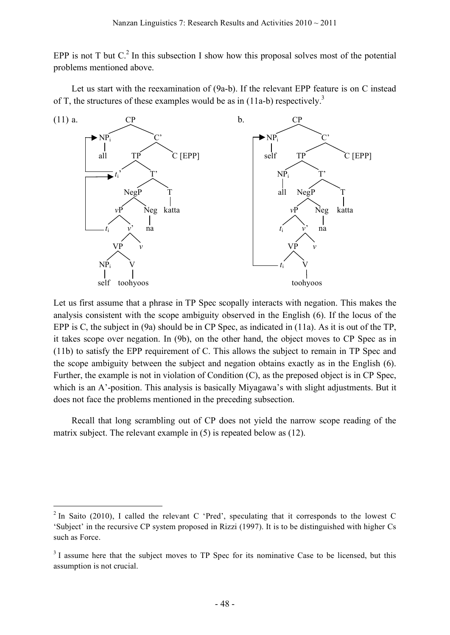EPP is not T but  $C<sup>2</sup>$  In this subsection I show how this proposal solves most of the potential problems mentioned above.

Let us start with the reexamination of (9a-b). If the relevant EPP feature is on C instead of T, the structures of these examples would be as in  $(11a-b)$  respectively.<sup>3</sup>



Let us first assume that a phrase in TP Spec scopally interacts with negation. This makes the analysis consistent with the scope ambiguity observed in the English (6). If the locus of the EPP is C, the subject in (9a) should be in CP Spec, as indicated in (11a). As it is out of the TP, it takes scope over negation. In (9b), on the other hand, the object moves to CP Spec as in (11b) to satisfy the EPP requirement of C. This allows the subject to remain in TP Spec and the scope ambiguity between the subject and negation obtains exactly as in the English (6). Further, the example is not in violation of Condition (C), as the preposed object is in CP Spec, which is an A'-position. This analysis is basically Miyagawa's with slight adjustments. But it does not face the problems mentioned in the preceding subsection.

Recall that long scrambling out of CP does not yield the narrow scope reading of the matrix subject. The relevant example in (5) is repeated below as (12).

 $2 \text{ In Saito (2010), I called the relevant C 'Pred', speeding that it corresponds to the lowest C.}$ 'Subject' in the recursive CP system proposed in Rizzi (1997). It is to be distinguished with higher Cs such as Force.

<sup>&</sup>lt;sup>3</sup> I assume here that the subject moves to TP Spec for its nominative Case to be licensed, but this assumption is not crucial.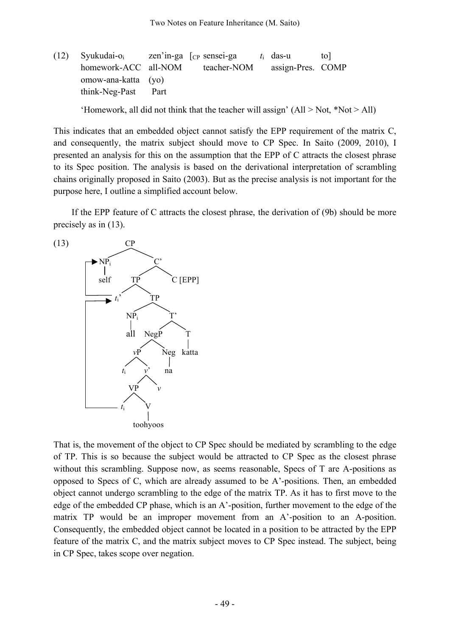(12) Syukudai-oi zen'in-ga [CP sensei-ga *t*<sup>i</sup> das-u to] homework-ACC all-NOM teacher-NOM assign-Pres. COMP omow-ana-katta (yo) think-Neg-Past Part

'Homework, all did not think that the teacher will assign'  $(AII > Not, *Not > All)$ 

This indicates that an embedded object cannot satisfy the EPP requirement of the matrix C, and consequently, the matrix subject should move to CP Spec. In Saito (2009, 2010), I presented an analysis for this on the assumption that the EPP of C attracts the closest phrase to its Spec position. The analysis is based on the derivational interpretation of scrambling chains originally proposed in Saito (2003). But as the precise analysis is not important for the purpose here, I outline a simplified account below.

If the EPP feature of C attracts the closest phrase, the derivation of (9b) should be more precisely as in (13).



That is, the movement of the object to CP Spec should be mediated by scrambling to the edge of TP. This is so because the subject would be attracted to CP Spec as the closest phrase without this scrambling. Suppose now, as seems reasonable, Specs of T are A-positions as opposed to Specs of C, which are already assumed to be A'-positions. Then, an embedded object cannot undergo scrambling to the edge of the matrix TP. As it has to first move to the edge of the embedded CP phase, which is an A'-position, further movement to the edge of the matrix TP would be an improper movement from an A'-position to an A-position. Consequently, the embedded object cannot be located in a position to be attracted by the EPP feature of the matrix C, and the matrix subject moves to CP Spec instead. The subject, being in CP Spec, takes scope over negation.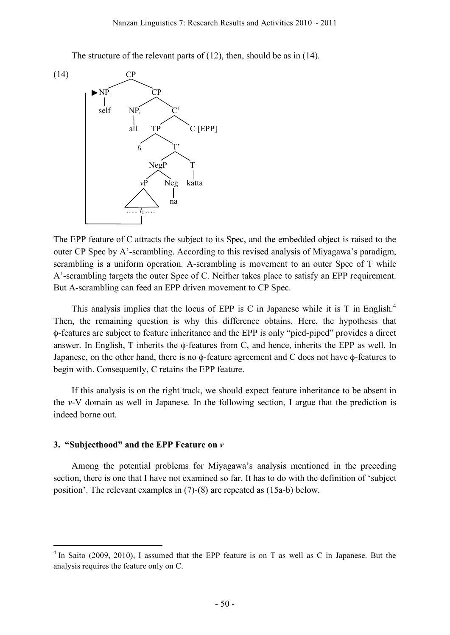The structure of the relevant parts of (12), then, should be as in (14).



The EPP feature of C attracts the subject to its Spec, and the embedded object is raised to the outer CP Spec by A'-scrambling. According to this revised analysis of Miyagawa's paradigm, scrambling is a uniform operation. A-scrambling is movement to an outer Spec of T while A'-scrambling targets the outer Spec of C. Neither takes place to satisfy an EPP requirement. But A-scrambling can feed an EPP driven movement to CP Spec.

This analysis implies that the locus of EPP is C in Japanese while it is T in English.<sup>4</sup> Then, the remaining question is why this difference obtains. Here, the hypothesis that φ-features are subject to feature inheritance and the EPP is only "pied-piped" provides a direct answer. In English, T inherits the φ-features from C, and hence, inherits the EPP as well. In Japanese, on the other hand, there is no φ-feature agreement and C does not have φ-features to begin with. Consequently, C retains the EPP feature.

If this analysis is on the right track, we should expect feature inheritance to be absent in the *v*-V domain as well in Japanese. In the following section, I argue that the prediction is indeed borne out.

### **3. "Subjecthood" and the EPP Feature on** *v*

Among the potential problems for Miyagawa's analysis mentioned in the preceding section, there is one that I have not examined so far. It has to do with the definition of 'subject position'. The relevant examples in (7)-(8) are repeated as (15a-b) below.

<sup>&</sup>lt;sup>4</sup> In Saito (2009, 2010), I assumed that the EPP feature is on T as well as C in Japanese. But the analysis requires the feature only on C.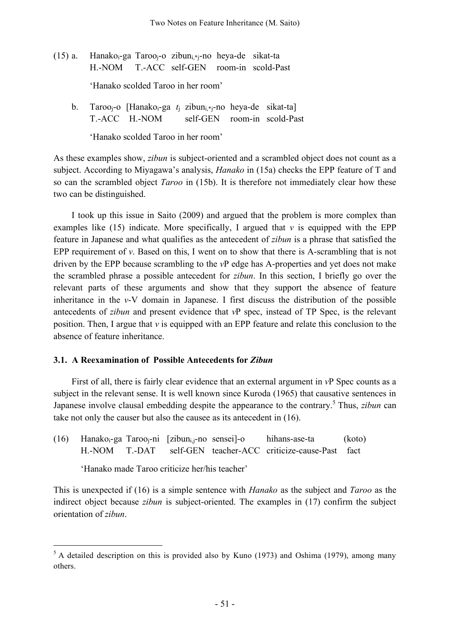- (15) a. Hanako $_{i}$ -ga Taroo $_{i}$ -o zibun $_{i}$ \* $_{i}$ -no heya-de sikat-ta H.-NOM T.-ACC self-GEN room-in scold-Past 'Hanako scolded Taroo in her room'
	- b. Taroo<sub>i</sub>-o [Hanako<sub>i</sub>-ga *t*<sub>i</sub> zibun<sub>i\*j</sub>-no heya-de sikat-ta] T.-ACC [H.-NOM self-GEN room-in scold-Past

'Hanako scolded Taroo in her room'

As these examples show, *zibun* is subject-oriented and a scrambled object does not count as a subject. According to Miyagawa's analysis, *Hanako* in (15a) checks the EPP feature of T and so can the scrambled object *Taroo* in (15b). It is therefore not immediately clear how these two can be distinguished.

I took up this issue in Saito (2009) and argued that the problem is more complex than examples like  $(15)$  indicate. More specifically, I argued that *v* is equipped with the EPP feature in Japanese and what qualifies as the antecedent of *zibun* is a phrase that satisfied the EPP requirement of  $\nu$ . Based on this, I went on to show that there is A-scrambling that is not driven by the EPP because scrambling to the *v*P edge has A-properties and yet does not make the scrambled phrase a possible antecedent for *zibun*. In this section, I briefly go over the relevant parts of these arguments and show that they support the absence of feature inheritance in the *v*-V domain in Japanese. I first discuss the distribution of the possible antecedents of *zibun* and present evidence that *v*P spec, instead of TP Spec, is the relevant position. Then, I argue that *v* is equipped with an EPP feature and relate this conclusion to the absence of feature inheritance.

# **3.1. A Reexamination of Possible Antecedents for** *Zibun*

First of all, there is fairly clear evidence that an external argument in *v*P Spec counts as a subject in the relevant sense. It is well known since Kuroda (1965) that causative sentences in Japanese involve clausal embedding despite the appearance to the contrary. <sup>5</sup> Thus, *zibun* can take not only the causer but also the causee as its antecedent in (16).

(16) Hanako<sub>i</sub>-ga Taroo<sub>i</sub>-ni [zibun<sub>i.i</sub>-no sensei]-o hihans-ase-ta (koto) H.-NOM T.-DAT self-GEN teacher-ACC criticize-cause-Past fact

'Hanako made Taroo criticize her/his teacher'

This is unexpected if (16) is a simple sentence with *Hanako* as the subject and *Taroo* as the indirect object because *zibun* is subject-oriented. The examples in (17) confirm the subject orientation of *zibun*.

 $5$  A detailed description on this is provided also by Kuno (1973) and Oshima (1979), among many others.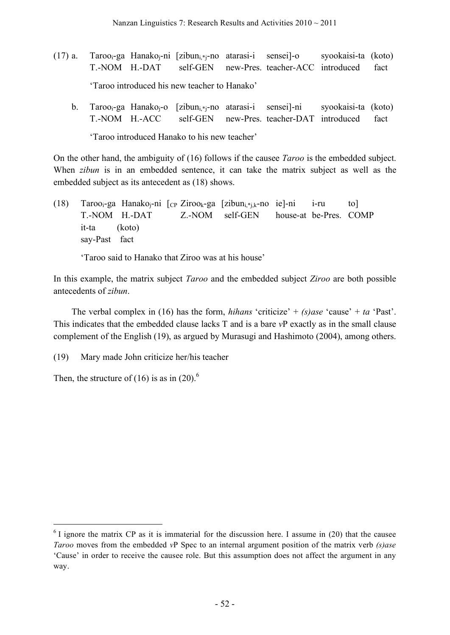- (17) a. Taroo<sub>i</sub>-ga Hanako<sub>i</sub>-ni [zibun<sub>i\*i</sub>-no atarasi-i sensei]-o syookaisi-ta (koto) T.-NOM H.-DAT self-GEN new-Pres. teacher-ACC introduced fact 'Taroo introduced his new teacher to Hanako'
	- b. Taroo<sub>i</sub>-ga Hanako<sub>i</sub>-o [zibun<sub>i\*i</sub>-no atarasi-i sensei]-ni syookaisi-ta (koto) T.-NOM H.-ACC [self-GEN new-Pres. teacher-DAT introduced (fact 'Taroo introduced Hanako to his new teacher'

On the other hand, the ambiguity of (16) follows if the causee *Taroo* is the embedded subject. When *zibun* is in an embedded sentence, it can take the matrix subject as well as the embedded subject as its antecedent as (18) shows.

(18) Taroo<sub>i</sub>-ga Hanako<sub>i</sub>-ni  $[CP Ziroo_k-ga]$  [zibun<sub>i.\*ik</sub>-no ie]-ni i-ru to] T.-NOM H.-DAT Z.-NOM self-GEN house-at be-Pres. COMP it-ta (koto) say-Past fact

'Taroo said to Hanako that Ziroo was at his house'

In this example, the matrix subject *Taroo* and the embedded subject *Ziroo* are both possible antecedents of *zibun*.

The verbal complex in (16) has the form, *hihans* 'criticize' +  $(s)$ *ase* 'cause' + *ta* 'Past'. This indicates that the embedded clause lacks T and is a bare *v*P exactly as in the small clause complement of the English (19), as argued by Murasugi and Hashimoto (2004), among others.

(19) Mary made John criticize her/his teacher

Then, the structure of (16) is as in (20).<sup>6</sup>

 $6$  I ignore the matrix CP as it is immaterial for the discussion here. I assume in (20) that the causee *Taroo* moves from the embedded *v*P Spec to an internal argument position of the matrix verb *(s)ase* 'Cause' in order to receive the causee role. But this assumption does not affect the argument in any way.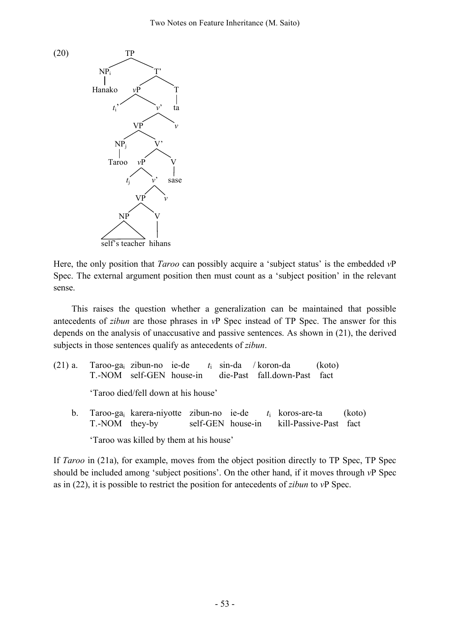

Here, the only position that *Taroo* can possibly acquire a 'subject status' is the embedded *v*P Spec. The external argument position then must count as a 'subject position' in the relevant sense.

This raises the question whether a generalization can be maintained that possible antecedents of *zibun* are those phrases in *v*P Spec instead of TP Spec. The answer for this depends on the analysis of unaccusative and passive sentences. As shown in (21), the derived subjects in those sentences qualify as antecedents of *zibun*.

(21) a. Taroo-gai zibun-no ie-de *t*<sup>i</sup> sin-da / koron-da (koto) T.-NOM self-GEN house-in die-Past fall.down-Past fact 'Taroo died/fell down at his house' b. Taroo-gai karera-niyotte zibun-no ie-de *t*<sup>i</sup> koros-are-ta (koto) T.-NOM they-by self-GEN house-in kill-Passive-Past fact

'Taroo was killed by them at his house'

If *Taroo* in (21a), for example, moves from the object position directly to TP Spec, TP Spec should be included among 'subject positions'. On the other hand, if it moves through *v*P Spec as in (22), it is possible to restrict the position for antecedents of *zibun* to *v*P Spec.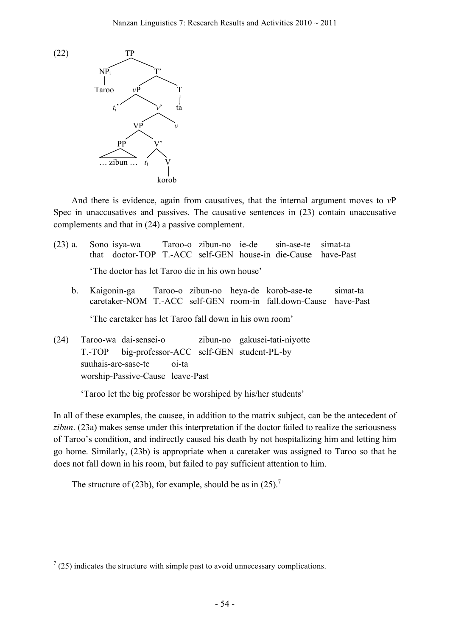

And there is evidence, again from causatives, that the internal argument moves to *v*P Spec in unaccusatives and passives. The causative sentences in (23) contain unaccusative complements and that in (24) a passive complement.

- (23) a. Sono isya-wa Taroo-o zibun-no ie-de sin-ase-te simat-ta that doctor-TOP T.-ACC self-GEN house-in die-Cause have-Past 'The doctor has let Taroo die in his own house'
	- b. Kaigonin-ga Taroo-o zibun-no heya-de korob-ase-te simat-ta caretaker-NOM T.-ACC self-GEN room-in fall.down-Cause have-Past

'The caretaker has let Taroo fall down in his own room'

(24) Taroo-wa dai-sensei-o zibun-no gakusei-tati-niyotte T.-TOP big-professor-ACC self-GEN student-PL-by suuhais-are-sase-te oi-ta worship-Passive-Cause leave-Past

'Taroo let the big professor be worshiped by his/her students'

In all of these examples, the causee, in addition to the matrix subject, can be the antecedent of *zibun*. (23a) makes sense under this interpretation if the doctor failed to realize the seriousness of Taroo's condition, and indirectly caused his death by not hospitalizing him and letting him go home. Similarly, (23b) is appropriate when a caretaker was assigned to Taroo so that he does not fall down in his room, but failed to pay sufficient attention to him.

The structure of (23b), for example, should be as in (25).<sup>7</sup>

 $7(25)$  indicates the structure with simple past to avoid unnecessary complications.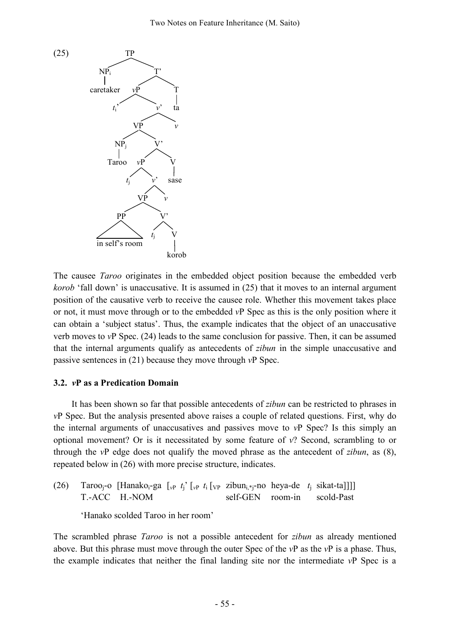

The causee *Taroo* originates in the embedded object position because the embedded verb *korob* 'fall down' is unaccusative. It is assumed in (25) that it moves to an internal argument position of the causative verb to receive the causee role. Whether this movement takes place or not, it must move through or to the embedded *v*P Spec as this is the only position where it can obtain a 'subject status'. Thus, the example indicates that the object of an unaccusative verb moves to *v*P Spec. (24) leads to the same conclusion for passive. Then, it can be assumed that the internal arguments qualify as antecedents of *zibun* in the simple unaccusative and passive sentences in (21) because they move through *v*P Spec.

### **3.2.** *v***P as a Predication Domain**

It has been shown so far that possible antecedents of *zibun* can be restricted to phrases in *v*P Spec. But the analysis presented above raises a couple of related questions. First, why do the internal arguments of unaccusatives and passives move to *v*P Spec? Is this simply an optional movement? Or is it necessitated by some feature of *v*? Second, scrambling to or through the *v*P edge does not qualify the moved phrase as the antecedent of *zibun*, as (8), repeated below in (26) with more precise structure, indicates.

(26) Tarooj-o [Hanakoi-ga [*v*<sup>P</sup> *t*j' [*v*<sup>P</sup> *t*<sup>i</sup> [VP zibuni,\*j-no heya-de *t*<sup>j</sup> sikat-ta]]]] T.-ACC [H.-NOM self-GEN room-in scold-Past

'Hanako scolded Taroo in her room'

The scrambled phrase *Taroo* is not a possible antecedent for *zibun* as already mentioned above. But this phrase must move through the outer Spec of the *v*P as the *v*P is a phase. Thus, the example indicates that neither the final landing site nor the intermediate *v*P Spec is a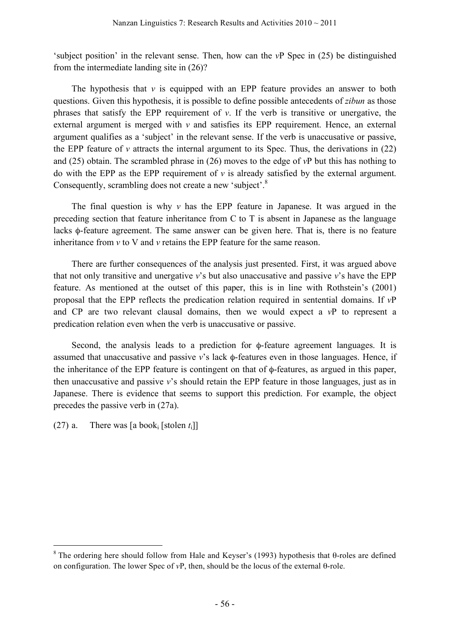'subject position' in the relevant sense. Then, how can the *v*P Spec in (25) be distinguished from the intermediate landing site in (26)?

The hypothesis that  $\nu$  is equipped with an EPP feature provides an answer to both questions. Given this hypothesis, it is possible to define possible antecedents of *zibun* as those phrases that satisfy the EPP requirement of *v*. If the verb is transitive or unergative, the external argument is merged with *v* and satisfies its EPP requirement. Hence, an external argument qualifies as a 'subject' in the relevant sense. If the verb is unaccusative or passive, the EPP feature of  $\nu$  attracts the internal argument to its Spec. Thus, the derivations in (22) and (25) obtain. The scrambled phrase in (26) moves to the edge of *v*P but this has nothing to do with the EPP as the EPP requirement of *v* is already satisfied by the external argument. Consequently, scrambling does not create a new 'subject'.<sup>8</sup>

The final question is why  $\nu$  has the EPP feature in Japanese. It was argued in the preceding section that feature inheritance from C to T is absent in Japanese as the language lacks φ-feature agreement. The same answer can be given here. That is, there is no feature inheritance from *v* to V and *v* retains the EPP feature for the same reason.

There are further consequences of the analysis just presented. First, it was argued above that not only transitive and unergative *v*'s but also unaccusative and passive *v*'s have the EPP feature. As mentioned at the outset of this paper, this is in line with Rothstein's (2001) proposal that the EPP reflects the predication relation required in sentential domains. If *v*P and CP are two relevant clausal domains, then we would expect a *v*P to represent a predication relation even when the verb is unaccusative or passive.

Second, the analysis leads to a prediction for φ-feature agreement languages. It is assumed that unaccusative and passive *v*'s lack φ-features even in those languages. Hence, if the inheritance of the EPP feature is contingent on that of φ-features, as argued in this paper, then unaccusative and passive *v*'s should retain the EPP feature in those languages, just as in Japanese. There is evidence that seems to support this prediction. For example, the object precedes the passive verb in (27a).

(27) a. There was  $[a \text{ book}_i \text{[stolen } t_i]]$ 

<sup>&</sup>lt;sup>8</sup> The ordering here should follow from Hale and Keyser's (1993) hypothesis that  $\theta$ -roles are defined on configuration. The lower Spec of *v*P, then, should be the locus of the external θ-role.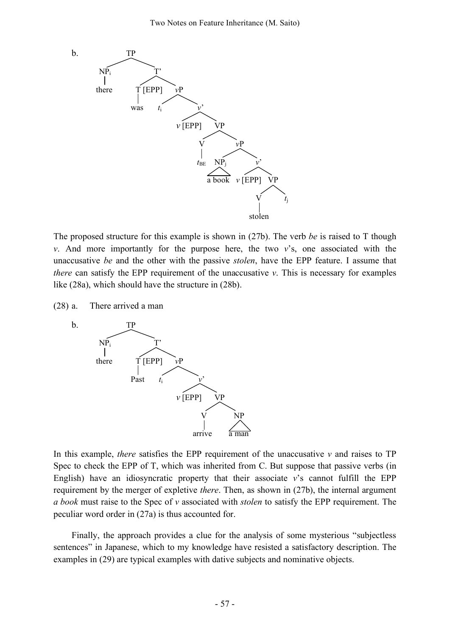

The proposed structure for this example is shown in (27b). The verb *be* is raised to T though *v*. And more importantly for the purpose here, the two *v*'s, one associated with the unaccusative *be* and the other with the passive *stolen*, have the EPP feature. I assume that *there* can satisfy the EPP requirement of the unaccusative *v*. This is necessary for examples like (28a), which should have the structure in (28b).

(28) a. There arrived a man



In this example, *there* satisfies the EPP requirement of the unaccusative  $\nu$  and raises to TP Spec to check the EPP of T, which was inherited from C. But suppose that passive verbs (in English) have an idiosyncratic property that their associate  $v$ 's cannot fulfill the EPP requirement by the merger of expletive *there*. Then, as shown in (27b), the internal argument *a book* must raise to the Spec of *v* associated with *stolen* to satisfy the EPP requirement. The peculiar word order in (27a) is thus accounted for.

Finally, the approach provides a clue for the analysis of some mysterious "subjectless sentences" in Japanese, which to my knowledge have resisted a satisfactory description. The examples in (29) are typical examples with dative subjects and nominative objects.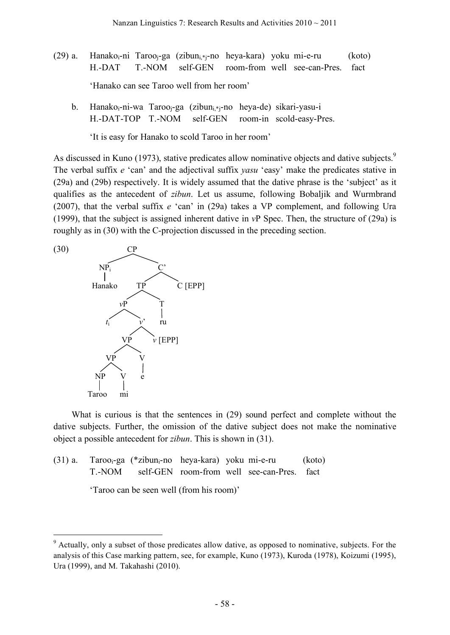- (29) a. Hanakoi-ni Tarooj-ga (zibuni $*$ j-no heya-kara) yoku mi-e-ru (koto) H.-DAT T.-NOM self-GEN room-from well see-can-Pres. fact 'Hanako can see Taroo well from her room'
	- b. Hanako<sub>i</sub>-ni-wa Taroo<sub>i</sub>-ga (zibun<sub>i\*i</sub>-no heya-de) sikari-yasu-i H.-DAT-TOP T.-NOM self-GEN room-in scold-easy-Pres.

'It is easy for Hanako to scold Taroo in her room'

As discussed in Kuno (1973), stative predicates allow nominative objects and dative subjects.<sup>9</sup> The verbal suffix *e* 'can' and the adjectival suffix *yasu* 'easy' make the predicates stative in (29a) and (29b) respectively. It is widely assumed that the dative phrase is the 'subject' as it qualifies as the antecedent of *zibun*. Let us assume, following Bobaljik and Wurmbrand (2007), that the verbal suffix *e* 'can' in (29a) takes a VP complement, and following Ura (1999), that the subject is assigned inherent dative in *v*P Spec. Then, the structure of (29a) is roughly as in (30) with the C-projection discussed in the preceding section.



What is curious is that the sentences in (29) sound perfect and complete without the dative subjects. Further, the omission of the dative subject does not make the nominative object a possible antecedent for *zibun*. This is shown in (31).

 $(31)$  a. Taroo<sub>i</sub>-ga (\*zibun<sub>i</sub>-no heya-kara) yoku mi-e-ru (koto) T.-NOM self-GEN room-from well see-can-Pres. fact

'Taroo can be seen well (from his room)'

 <sup>9</sup> Actually, only <sup>a</sup> subset of those predicates allow dative, as opposed to nominative, subjects. For the analysis of this Case marking pattern, see, for example, Kuno (1973), Kuroda (1978), Koizumi (1995), Ura (1999), and M. Takahashi (2010).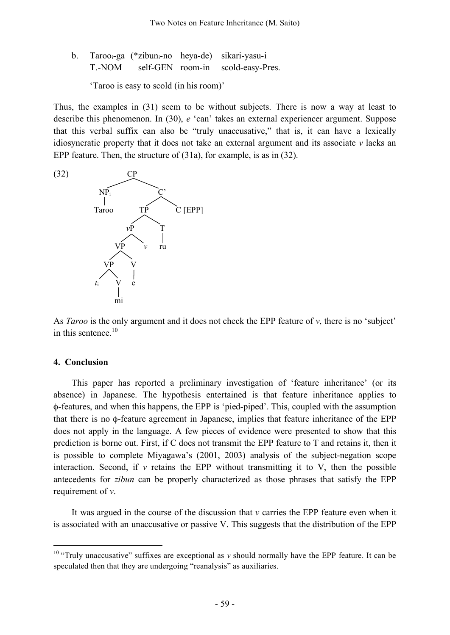b. Tarooi-ga (\*zibuni-no heya-de) sikari-yasu-i T.-NOM self-GEN room-in scold-easy-Pres.

'Taroo is easy to scold (in his room)'

Thus, the examples in (31) seem to be without subjects. There is now a way at least to describe this phenomenon. In (30), *e* 'can' takes an external experiencer argument. Suppose that this verbal suffix can also be "truly unaccusative," that is, it can have a lexically idiosyncratic property that it does not take an external argument and its associate *v* lacks an EPP feature. Then, the structure of (31a), for example, is as in (32).



As *Taroo* is the only argument and it does not check the EPP feature of *v*, there is no 'subject' in this sentence. 10

#### **4. Conclusion**

This paper has reported a preliminary investigation of 'feature inheritance' (or its absence) in Japanese. The hypothesis entertained is that feature inheritance applies to φ-features, and when this happens, the EPP is 'pied-piped'. This, coupled with the assumption that there is no φ-feature agreement in Japanese, implies that feature inheritance of the EPP does not apply in the language. A few pieces of evidence were presented to show that this prediction is borne out. First, if C does not transmit the EPP feature to T and retains it, then it is possible to complete Miyagawa's (2001, 2003) analysis of the subject-negation scope interaction. Second, if *v* retains the EPP without transmitting it to V, then the possible antecedents for *zibun* can be properly characterized as those phrases that satisfy the EPP requirement of *v*.

It was argued in the course of the discussion that *v* carries the EPP feature even when it is associated with an unaccusative or passive V. This suggests that the distribution of the EPP

<sup>&</sup>lt;sup>10</sup> "Truly unaccusative" suffixes are exceptional as  $v$  should normally have the EPP feature. It can be speculated then that they are undergoing "reanalysis" as auxiliaries.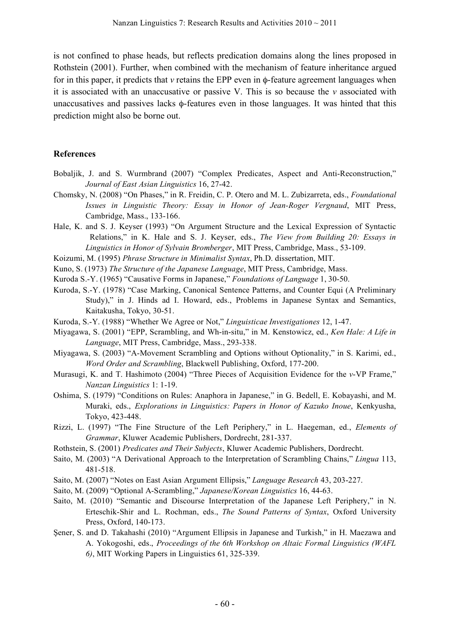is not confined to phase heads, but reflects predication domains along the lines proposed in Rothstein (2001). Further, when combined with the mechanism of feature inheritance argued for in this paper, it predicts that *v* retains the EPP even in φ-feature agreement languages when it is associated with an unaccusative or passive V. This is so because the *v* associated with unaccusatives and passives lacks φ-features even in those languages. It was hinted that this prediction might also be borne out.

### **References**

- Bobaljik, J. and S. Wurmbrand (2007) "Complex Predicates, Aspect and Anti-Reconstruction," *Journal of East Asian Linguistics* 16, 27-42.
- Chomsky, N. (2008) "On Phases," in R. Freidin, C. P. Otero and M. L. Zubizarreta, eds., *Foundational Issues in Linguistic Theory: Essay in Honor of Jean-Roger Vergnaud*, MIT Press, Cambridge, Mass., 133-166.
- Hale, K. and S. J. Keyser (1993) "On Argument Structure and the Lexical Expression of Syntactic Relations," in K. Hale and S. J. Keyser, eds., *The View from Building 20: Essays in Linguistics in Honor of Sylvain Bromberger*, MIT Press, Cambridge, Mass., 53-109.
- Koizumi, M. (1995) *Phrase Structure in Minimalist Syntax*, Ph.D. dissertation, MIT.
- Kuno, S. (1973) *The Structure of the Japanese Language*, MIT Press, Cambridge, Mass.
- Kuroda S.-Y. (1965) "Causative Forms in Japanese," *Foundations of Language* 1, 30-50.
- Kuroda, S.-Y. (1978) "Case Marking, Canonical Sentence Patterns, and Counter Equi (A Preliminary Study)," in J. Hinds ad I. Howard, eds., Problems in Japanese Syntax and Semantics, Kaitakusha, Tokyo, 30-51.
- Kuroda, S.-Y. (1988) "Whether We Agree or Not," *Linguisticae Investigationes* 12, 1-47.
- Miyagawa, S. (2001) "EPP, Scrambling, and Wh-in-situ," in M. Kenstowicz, ed., *Ken Hale: A Life in Language*, MIT Press, Cambridge, Mass., 293-338.
- Miyagawa, S. (2003) "A-Movement Scrambling and Options without Optionality," in S. Karimi, ed., *Word Order and Scrambling*, Blackwell Publishing, Oxford, 177-200.
- Murasugi, K. and T. Hashimoto (2004) "Three Pieces of Acquisition Evidence for the *v*-VP Frame," *Nanzan Linguistics* 1: 1-19.
- Oshima, S. (1979) "Conditions on Rules: Anaphora in Japanese," in G. Bedell, E. Kobayashi, and M. Muraki, eds., *Explorations in Linguistics: Papers in Honor of Kazuko Inoue*, Kenkyusha, Tokyo, 423-448.
- Rizzi, L. (1997) "The Fine Structure of the Left Periphery," in L. Haegeman, ed., *Elements of Grammar*, Kluwer Academic Publishers, Dordrecht, 281-337.
- Rothstein, S. (2001) *Predicates and Their Subjects*, Kluwer Academic Publishers, Dordrecht.
- Saito, M. (2003) "A Derivational Approach to the Interpretation of Scrambling Chains," *Lingua* 113, 481-518.
- Saito, M. (2007) "Notes on East Asian Argument Ellipsis," *Language Research* 43, 203-227.
- Saito, M. (2009) "Optional A-Scrambling," *Japanese/Korean Linguistics* 16, 44-63.
- Saito, M. (2010) "Semantic and Discourse Interpretation of the Japanese Left Periphery," in N. Erteschik-Shir and L. Rochman, eds., *The Sound Patterns of Syntax*, Oxford University Press, Oxford, 140-173.
- Şener, S. and D. Takahashi (2010) "Argument Ellipsis in Japanese and Turkish," in H. Maezawa and A. Yokogoshi, eds., *Proceedings of the 6th Workshop on Altaic Formal Linguistics (WAFL 6)*, MIT Working Papers in Linguistics 61, 325-339.